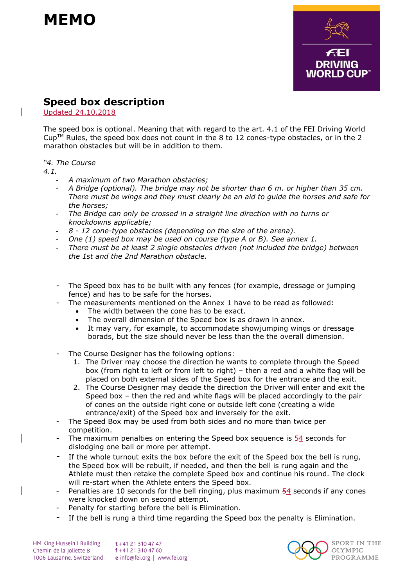



## **Speed box description**

Updated 24.10.2018

The speed box is optional. Meaning that with regard to the art. 4.1 of the FEI Driving World  $Cup<sup>TM</sup>$  Rules, the speed box does not count in the 8 to 12 cones-type obstacles, or in the 2 marathon obstacles but will be in addition to them.

## *"4. The Course*

*4.1.* 

- *A maximum of two Marathon obstacles;*
- *A Bridge (optional). The bridge may not be shorter than 6 m. or higher than 35 cm. There must be wings and they must clearly be an aid to guide the horses and safe for the horses;*
- The Bridge can only be crossed in a straight line direction with no turns or *knockdowns applicable;*
- *8 - 12 cone-type obstacles (depending on the size of the arena).*
- *One (1) speed box may be used on course (type A or B). See annex 1.*
- There must be at least 2 single obstacles driven (not included the bridge) between *the 1st and the 2nd Marathon obstacle.*
- The Speed box has to be built with any fences (for example, dressage or jumping fence) and has to be safe for the horses.
- The measurements mentioned on the Annex 1 have to be read as followed:
	- The width between the cone has to be exact.
	- The overall dimension of the Speed box is as drawn in annex.
	- It may vary, for example, to accommodate showjumping wings or dressage borads, but the size should never be less than the the overall dimension.
- The Course Designer has the following options:
	- 1. The Driver may choose the direction he wants to complete through the Speed box (from right to left or from left to right) – then a red and a white flag will be placed on both external sides of the Speed box for the entrance and the exit.
	- 2. The Course Designer may decide the direction the Driver will enter and exit the Speed box – then the red and white flags will be placed accordingly to the pair of cones on the outside right cone or outside left cone (creating a wide entrance/exit) of the Speed box and inversely for the exit.
- The Speed Box may be used from both sides and no more than twice per competition.
- The maximum penalties on entering the Speed box sequence is 54 seconds for dislodging one ball or more per attempt.
- If the whole turnout exits the box before the exit of the Speed box the bell is rung, the Speed box will be rebuilt, if needed, and then the bell is rung again and the Athlete must then retake the complete Speed box and continue his round. The clock will re-start when the Athlete enters the Speed box.
- Penalties are 10 seconds for the bell ringing, plus maximum  $54$  seconds if any cones were knocked down on second attempt.
- Penalty for starting before the bell is Elimination.
- If the bell is rung a third time regarding the Speed box the penalty is Elimination.

HM King Hussein I Building Chemin de la Joliette 8 1006 Lausanne, Switzerland

t +41 21 310 47 47 f +41 21 310 47 60 e info@fei.org | www.fei.org



SPORT IN THE **OLYMPIC PROGRAMME**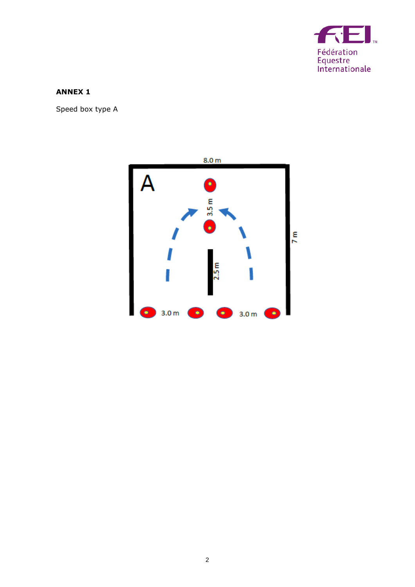

## **ANNEX 1**

Speed box type A